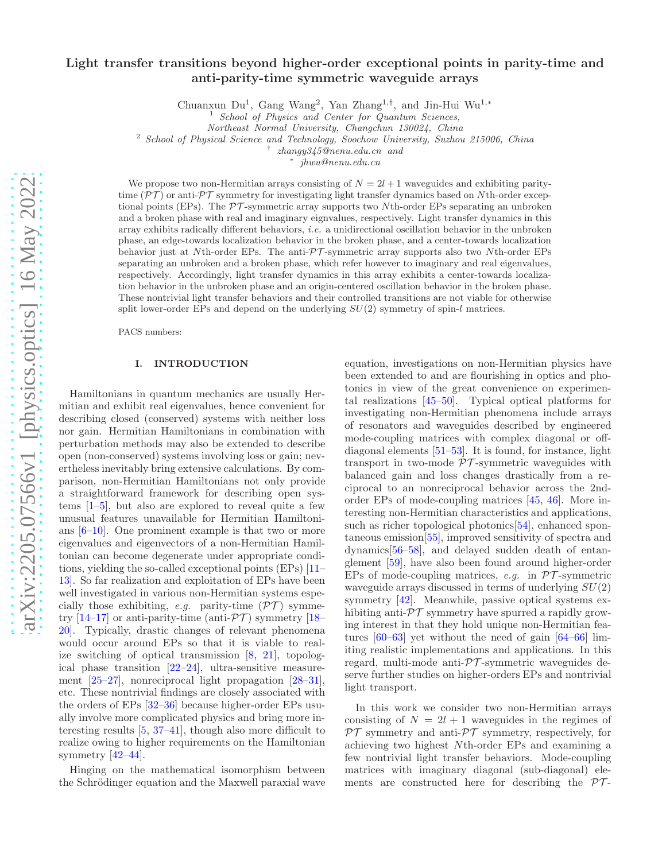# Light transfer transitions beyond higher-order exceptional points in parity-time and anti-parity-time symmetric waveguide arrays

Chuanxun Du<sup>1</sup>, Gang Wang<sup>2</sup>, Yan Zhang<sup>1,†</sup>, and Jin-Hui Wu<sup>1,\*</sup>

 $<sup>1</sup>$  School of Physics and Center for Quantum Sciences,</sup>

Northeast Normal University, Changchun 130024, China

<sup>2</sup> School of Physical Science and Technology, Soochow University, Suzhou 215006, China

∗

† zhangy345@nenu.edu.cn and

jhwu@nenu.edu.cn

We propose two non-Hermitian arrays consisting of  $N = 2l + 1$  waveguides and exhibiting paritytime  $(\mathcal{PT})$  or anti- $\mathcal{PT}$  symmetry for investigating light transfer dynamics based on Nth-order exceptional points (EPs). The  $\mathcal{PT}$ -symmetric array supports two Nth-order EPs separating an unbroken and a broken phase with real and imaginary eignvalues, respectively. Light transfer dynamics in this array exhibits radically different behaviors, i.e. a unidirectional oscillation behavior in the unbroken phase, an edge-towards localization behavior in the broken phase, and a center-towards localization behavior just at Nth-order EPs. The anti- $\mathcal{PT}$ -symmetric array supports also two Nth-order EPs separating an unbroken and a broken phase, which refer however to imaginary and real eigenvalues, respectively. Accordingly, light transfer dynamics in this array exhibits a center-towards localization behavior in the unbroken phase and an origin-centered oscillation behavior in the broken phase. These nontrivial light transfer behaviors and their controlled transitions are not viable for otherwise split lower-order EPs and depend on the underlying  $SU(2)$  symmetry of spin-l matrices.

PACS numbers:

## I. INTRODUCTION

Hamiltonians in quantum mechanics are usually Hermitian and exhibit real eigenvalues, hence convenient for describing closed (conserved) systems with neither loss nor gain. Hermitian Hamiltonians in combination with perturbation methods may also be extended to describe open (non-conserved) systems involving loss or gain; nevertheless inevitably bring extensive calculations. By comparison, non-Hermitian Hamiltonians not only provide a straightforward framework for describing open systems [\[1](#page-6-0)[–5\]](#page-6-1), but also are explored to reveal quite a few unusual features unavailable for Hermitian Hamiltonians [\[6](#page-6-2)[–10\]](#page-7-0). One prominent example is that two or more eigenvalues and eigenvectors of a non-Hermitian Hamiltonian can become degenerate under appropriate conditions, yielding the so-called exceptional points (EPs) [\[11](#page-7-1)– [13\]](#page-7-2). So far realization and exploitation of EPs have been well investigated in various non-Hermitian systems especially those exhibiting, e.g. parity-time  $(\mathcal{PT})$  symme-try [\[14](#page-7-3)[–17\]](#page-7-4) or anti-parity-time (anti- $\mathcal{PT}$ ) symmetry [\[18](#page-7-5)– [20\]](#page-7-6). Typically, drastic changes of relevant phenomena would occur around EPs so that it is viable to realize switching of optical transmission [\[8,](#page-6-3) [21\]](#page-7-7), topological phase transition [\[22](#page-7-8)[–24](#page-7-9)], ultra-sensitive measurement [\[25](#page-7-10)[–27\]](#page-7-11), nonreciprocal light propagation [\[28](#page-7-12)[–31\]](#page-7-13), etc. These nontrivial findings are closely associated with the orders of EPs [\[32](#page-7-14)[–36\]](#page-7-15) because higher-order EPs usually involve more complicated physics and bring more interesting results [\[5,](#page-6-1) [37](#page-7-16)[–41\]](#page-7-17), though also more difficult to realize owing to higher requirements on the Hamiltonian symmetry [\[42](#page-7-18)[–44](#page-8-0)].

Hinging on the mathematical isomorphism between the Schrödinger equation and the Maxwell paraxial wave

equation, investigations on non-Hermitian physics have been extended to and are flourishing in optics and photonics in view of the great convenience on experimental realizations [\[45](#page-8-1)[–50\]](#page-8-2). Typical optical platforms for investigating non-Hermitian phenomena include arrays of resonators and waveguides described by engineered mode-coupling matrices with complex diagonal or offdiagonal elements [\[51](#page-8-3)[–53\]](#page-8-4). It is found, for instance, light transport in two-mode  $\overline{PT}$ -symmetric waveguides with balanced gain and loss changes drastically from a reciprocal to an nonreciprocal behavior across the 2ndorder EPs of mode-coupling matrices [\[45,](#page-8-1) [46](#page-8-5)]. More interesting non-Hermitian characteristics and applications, such as richer topological photonics [\[54\]](#page-8-6), enhanced spontaneous emission[\[55\]](#page-8-7), improved sensitivity of spectra and dynamics[\[56](#page-8-8)[–58\]](#page-8-9), and delayed sudden death of entanglement [\[59\]](#page-8-10), have also been found around higher-order EPs of mode-coupling matrices, e.g. in  $\mathcal{PT}$ -symmetric waveguide arrays discussed in terms of underlying SU(2) symmetry [\[42](#page-7-18)]. Meanwhile, passive optical systems exhibiting anti- $\mathcal{PT}$  symmetry have spurred a rapidly growing interest in that they hold unique non-Hermitian features [\[60](#page-8-11)[–63\]](#page-8-12) yet without the need of gain [\[64](#page-8-13)[–66\]](#page-8-14) limiting realistic implementations and applications. In this regard, multi-mode anti- $\mathcal{PT}$ -symmetric waveguides deserve further studies on higher-orders EPs and nontrivial light transport.

In this work we consider two non-Hermitian arrays consisting of  $N = 2l + 1$  waveguides in the regimes of  $\mathcal{PT}$  symmetry and anti- $\mathcal{PT}$  symmetry, respectively, for achieving two highest Nth-order EPs and examining a few nontrivial light transfer behaviors. Mode-coupling matrices with imaginary diagonal (sub-diagonal) elements are constructed here for describing the  $PT$ -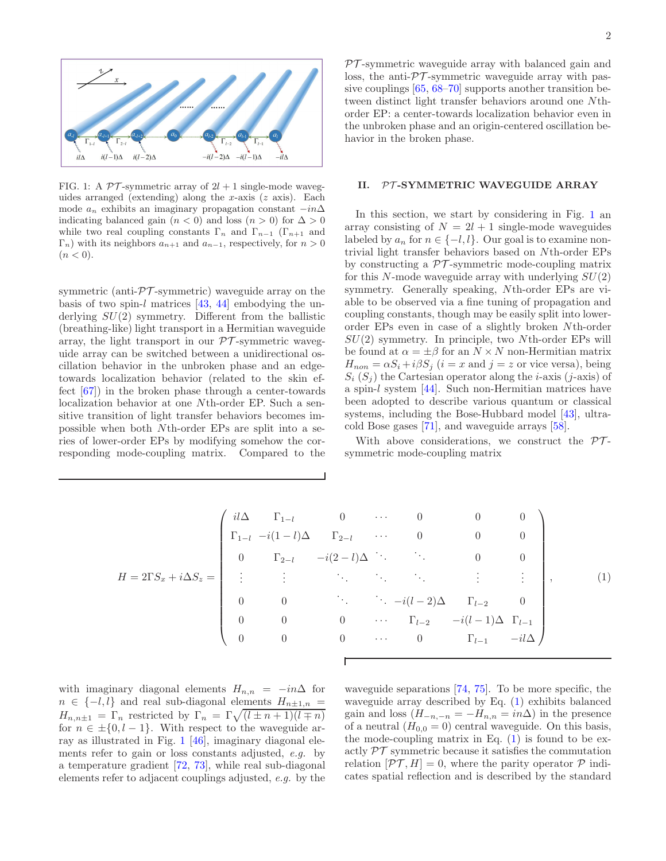

<span id="page-1-0"></span>FIG. 1: A  $\mathcal{PT}$ -symmetric array of  $2l + 1$  single-mode waveguides arranged (extending) along the x-axis  $(z \text{ axis})$ . Each mode  $a_n$  exhibits an imaginary propagation constant  $-i\eta\Delta$ indicating balanced gain ( $n < 0$ ) and loss ( $n > 0$ ) for  $\Delta > 0$ while two real coupling constants  $\Gamma_n$  and  $\Gamma_{n-1}$  ( $\Gamma_{n+1}$  and  $\Gamma_n$ ) with its neighbors  $a_{n+1}$  and  $a_{n-1}$ , respectively, for  $n > 0$  $(n < 0).$ 

symmetric (anti- $\mathcal{PT}$ -symmetric) waveguide array on the basis of two spin-l matrices  $[43, 44]$  $[43, 44]$  embodying the underlying  $SU(2)$  symmetry. Different from the ballistic (breathing-like) light transport in a Hermitian waveguide array, the light transport in our  $\mathcal{PT}$ -symmetric waveguide array can be switched between a unidirectional oscillation behavior in the unbroken phase and an edgetowards localization behavior (related to the skin effect [\[67\]](#page-8-15)) in the broken phase through a center-towards localization behavior at one Nth-order EP. Such a sensitive transition of light transfer behaviors becomes impossible when both Nth-order EPs are split into a series of lower-order EPs by modifying somehow the corresponding mode-coupling matrix. Compared to the

 $PT$ -symmetric waveguide array with balanced gain and loss, the anti- $\mathcal{PT}$ -symmetric waveguide array with passive couplings [\[65,](#page-8-16) [68](#page-8-17)[–70](#page-8-18)] supports another transition between distinct light transfer behaviors around one Nthorder EP: a center-towards localization behavior even in the unbroken phase and an origin-centered oscillation behavior in the broken phase.

## II. PT-SYMMETRIC WAVEGUIDE ARRAY

In this section, we start by considering in Fig. [1](#page-1-0) an array consisting of  $N = 2l + 1$  single-mode waveguides labeled by  $a_n$  for  $n \in \{-l, l\}$ . Our goal is to examine nontrivial light transfer behaviors based on Nth-order EPs by constructing a  $\mathcal{PT}$ -symmetric mode-coupling matrix for this N-mode waveguide array with underlying  $SU(2)$ symmetry. Generally speaking, Nth-order EPs are viable to be observed via a fine tuning of propagation and coupling constants, though may be easily split into lowerorder EPs even in case of a slightly broken Nth-order  $SU(2)$  symmetry. In principle, two Nth-order EPs will be found at  $\alpha = \pm \beta$  for an  $N \times N$  non-Hermitian matrix  $H_{non} = \alpha S_i + i \beta S_j$  (i = x and j = z or vice versa), being  $S_i$  ( $S_j$ ) the Cartesian operator along the *i*-axis (*j*-axis) of a spin-l system [\[44\]](#page-8-0). Such non-Hermitian matrices have been adopted to describe various quantum or classical systems, including the Bose-Hubbard model [\[43](#page-7-19)], ultracold Bose gases [\[71](#page-8-19)], and waveguide arrays [\[58\]](#page-8-9).

With above considerations, we construct the  $PT$ symmetric mode-coupling matrix

<span id="page-1-1"></span>
$$
H = 2\Gamma S_x + i\Delta S_z = \begin{pmatrix} i l \Delta & \Gamma_{1-l} & 0 & \cdots & 0 & 0 & 0 \\ \Gamma_{1-l} & -i(1-l) \Delta & \Gamma_{2-l} & \cdots & 0 & 0 & 0 \\ 0 & \Gamma_{2-l} & -i(2-l) \Delta & \ddots & \ddots & 0 & 0 \\ \vdots & \vdots & \ddots & \ddots & \ddots & \vdots & \vdots \\ 0 & 0 & \ddots & \ddots & -i(l-2) \Delta & \Gamma_{l-2} & 0 \\ 0 & 0 & 0 & \cdots & \Gamma_{l-2} & -i(l-1) \Delta & \Gamma_{l-1} \\ 0 & 0 & 0 & \cdots & 0 & \Gamma_{l-1} & -i l \Delta \end{pmatrix}, \qquad (1)
$$

with imaginary diagonal elements  $H_{n,n} = -in\Delta$  for  $n \in \{-l, l\}$  and real sub-diagonal elements  $H_{n\pm 1,n}$  =  $H_{n,n\pm 1} = \Gamma_n$  restricted by  $\Gamma_n = \Gamma \sqrt{\left(l \pm n + 1\right)\left(l \mp n\right)}$ for  $n \in \pm \{0, l - 1\}$ . With respect to the waveguide array as illustrated in Fig. [1](#page-1-0) [\[46](#page-8-5)], imaginary diagonal elements refer to gain or loss constants adjusted, e.g. by a temperature gradient [\[72](#page-8-20), [73\]](#page-8-21), while real sub-diagonal elements refer to adjacent couplings adjusted, e.g. by the waveguide separations [\[74,](#page-8-22) [75](#page-8-23)]. To be more specific, the waveguide array described by Eq. [\(1\)](#page-1-1) exhibits balanced gain and loss  $(H_{-n,-n} = -H_{n,n} = in\Delta)$  in the presence of a neutral  $(H_{0,0} = 0)$  central waveguide. On this basis, the mode-coupling matrix in Eq.  $(1)$  is found to be exactly  $\mathcal{PT}$  symmetric because it satisfies the commutation relation  $[\mathcal{PT}, H] = 0$ , where the parity operator  $\mathcal P$  indicates spatial reflection and is described by the standard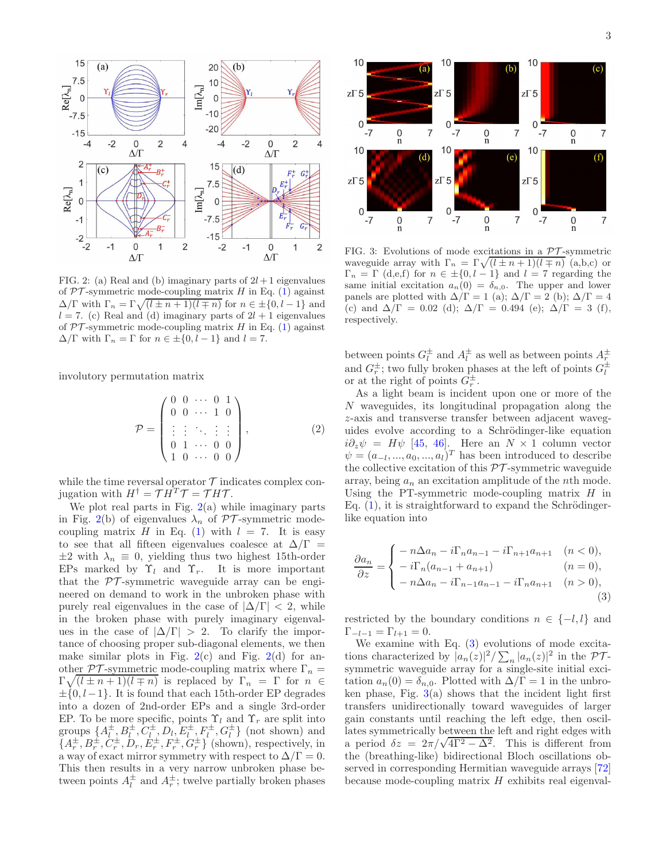

<span id="page-2-0"></span>FIG. 2: (a) Real and (b) imaginary parts of  $2l+1$  eigenvalues of  $PT$ -symmetric mode-coupling matrix H in Eq. [\(1\)](#page-1-1) against  $\Delta/\Gamma$  with  $\Gamma_n = \Gamma \sqrt{\frac{l \pm n + 1}{l \mp n}}$  for  $n \in \pm \{0, l - 1\}$  and  $l = 7$ . (c) Real and (d) imaginary parts of  $2l + 1$  eigenvalues of  $PT$ -symmetric mode-coupling matrix H in Eq. [\(1\)](#page-1-1) against  $\Delta/\Gamma$  with  $\Gamma_n = \Gamma$  for  $n \in \pm \{0, l - 1\}$  and  $l = 7$ .

involutory permutation matrix

$$
\mathcal{P} = \begin{pmatrix} 0 & 0 & \cdots & 0 & 1 \\ 0 & 0 & \cdots & 1 & 0 \\ \vdots & \vdots & \ddots & \vdots & \vdots \\ 0 & 1 & \cdots & 0 & 0 \\ 1 & 0 & \cdots & 0 & 0 \end{pmatrix},
$$
 (2)

while the time reversal operator  $\mathcal T$  indicates complex conjugation with  $H^{\dagger} = \mathcal{T} H^T \mathcal{T} = \mathcal{T} H \mathcal{T}$ .

We plot real parts in Fig.  $2(a)$  $2(a)$  while imaginary parts in Fig. [2\(](#page-2-0)b) of eigenvalues  $\lambda_n$  of PT-symmetric mode-coupling matrix H in Eq. [\(1\)](#page-1-1) with  $l = 7$ . It is easy to see that all fifteen eigenvalues coalesce at  $\Delta/\Gamma$  =  $\pm 2$  with  $\lambda_n \equiv 0$ , yielding thus two highest 15th-order EPs marked by  $\Upsilon_l$  and  $\Upsilon_r$ . It is more important that the  $\mathcal{PT}$ -symmetric waveguide array can be engineered on demand to work in the unbroken phase with purely real eigenvalues in the case of  $|\Delta/\Gamma| < 2$ , while in the broken phase with purely imaginary eigenvalues in the case of  $|\Delta/\Gamma| > 2$ . To clarify the importance of choosing proper sub-diagonal elements, we then make similar plots in Fig.  $2(c)$  $2(c)$  and Fig.  $2(d)$  for another  $\mathcal{PT}$ -symmetric mode-coupling matrix where  $\Gamma_n =$  $\Gamma \sqrt{(l \pm n + 1)(l \mp n)}$  is replaced by  $\Gamma_n = \Gamma$  for  $n \in$  $\pm \{0, l-1\}$ . It is found that each 15th-order EP degrades into a dozen of 2nd-order EPs and a single 3rd-order EP. To be more specific, points  $\Upsilon_l$  and  $\Upsilon_r$  are split into groups  $\{A_l^{\pm}, B_l^{\pm}, C_l^{\pm}, D_l, E_l^{\pm}, F_l^{\pm}, G_l^{\pm}\}\$  (not shown) and  $\{A_r^{\pm}, B_r^{\pm}, C_r^{\pm}, D_r, E_r^{\pm}, F_r^{\pm}, G_r^{\pm}\}\$  (shown), respectively, in a way of exact mirror symmetry with respect to  $\Delta/\Gamma = 0$ . This then results in a very narrow unbroken phase between points  $A_t^{\pm}$  and  $A_r^{\pm}$ ; twelve partially broken phases



<span id="page-2-2"></span>FIG. 3: Evolutions of mode excitations in a  $\mathcal{PT}$ -symmetric waveguide array with  $\Gamma_n = \Gamma \sqrt{(l \pm n + 1)(l \mp n)}$  (a,b,c) or  $\Gamma_n = \Gamma$  (d,e,f) for  $n \in \pm \{0, l - 1\}$  and  $l = 7$  regarding the same initial excitation  $a_n(0) = \delta_{n,0}$ . The upper and lower panels are plotted with  $\Delta/\Gamma = 1$  (a);  $\Delta/\Gamma = 2$  (b);  $\Delta/\Gamma = 4$ (c) and  $\Delta/\Gamma = 0.02$  (d);  $\Delta/\Gamma = 0.494$  (e);  $\Delta/\Gamma = 3$  (f), respectively.

between points  $G_l^{\pm}$  and  $A_l^{\pm}$  as well as between points  $A_r^{\pm}$ and  $G_r^{\pm}$ ; two fully broken phases at the left of points  $G_l^{\pm}$ or at the right of points  $G_r^{\pm}$ .

As a light beam is incident upon one or more of the N waveguides, its longitudinal propagation along the z-axis and transverse transfer between adjacent waveguides evolve according to a Schrödinger-like equation  $i\partial_z\psi = H\psi$  [\[45,](#page-8-1) [46](#page-8-5)]. Here an  $N \times 1$  column vector  $\psi = (a_{-l},...,a_0,...,a_l)^T$  has been introduced to describe the collective excitation of this  $\mathcal{PT}$ -symmetric waveguide array, being  $a_n$  an excitation amplitude of the *n*th mode. Using the PT-symmetric mode-coupling matrix  $H$  in Eq.  $(1)$ , it is straightforward to expand the Schrödingerlike equation into

<span id="page-2-1"></span>
$$
\frac{\partial a_n}{\partial z} = \begin{cases}\n- n \Delta a_n - i \Gamma_n a_{n-1} - i \Gamma_{n+1} a_{n+1} & (n < 0), \\
-i \Gamma_n (a_{n-1} + a_{n+1}) & (n = 0), \\
-n \Delta a_n - i \Gamma_{n-1} a_{n-1} - i \Gamma_n a_{n+1} & (n > 0),\n\end{cases}
$$
\n(3)

restricted by the boundary conditions  $n \in \{-l, l\}$  and  $\Gamma_{-l-1} = \Gamma_{l+1} = 0.$ 

We examine with Eq.  $(3)$  evolutions of mode excitations characterized by  $|a_n(z)|^2 / \sum_n |a_n(z)|^2$  in the PTsymmetric waveguide array for a single-site initial excitation  $a_n(0) = \delta_{n,0}$ . Plotted with  $\Delta/\Gamma = 1$  in the unbroken phase, Fig.  $3(a)$  $3(a)$  shows that the incident light first transfers unidirectionally toward waveguides of larger gain constants until reaching the left edge, then oscillates symmetrically between the left and right edges with a period  $\delta z = 2\pi/\sqrt{4\Gamma^2 - \Delta^2}$ . This is different from the (breathing-like) bidirectional Bloch oscillations observed in corresponding Hermitian waveguide arrays [\[72](#page-8-20)] because mode-coupling matrix  $H$  exhibits real eigenval-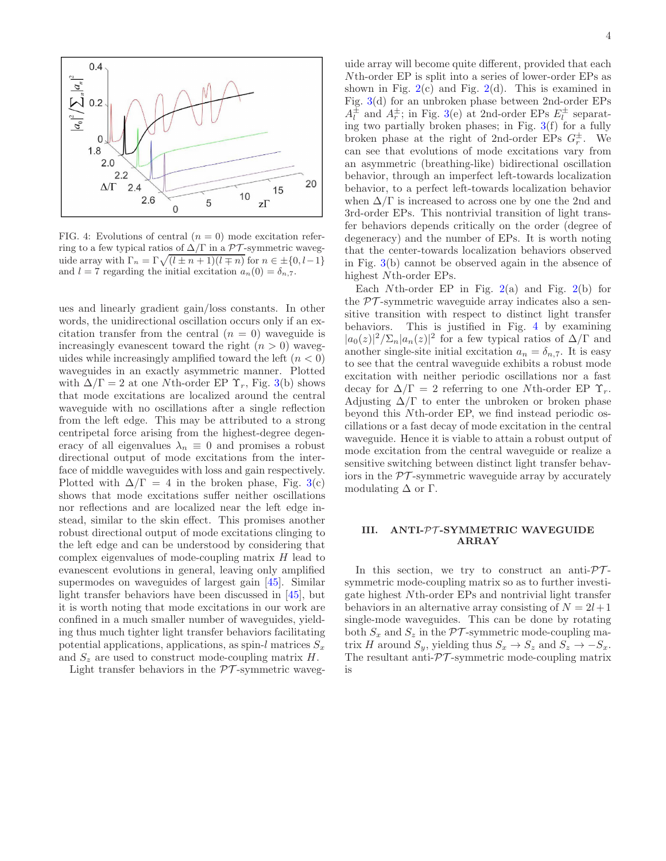

<span id="page-3-0"></span>FIG. 4: Evolutions of central  $(n = 0)$  mode excitation referring to a few typical ratios of  $\Delta/\Gamma$  in a PT-symmetric waveguide array with  $\Gamma_n = \Gamma \sqrt{\frac{l \pm n + 1}{l \mp n}}$  for  $n \in \pm \{0, l-1\}$ and  $l = 7$  regarding the initial excitation  $a_n(0) = \delta_{n,7}$ .

ues and linearly gradient gain/loss constants. In other words, the unidirectional oscillation occurs only if an excitation transfer from the central  $(n = 0)$  waveguide is increasingly evanescent toward the right  $(n > 0)$  waveguides while increasingly amplified toward the left  $(n < 0)$ waveguides in an exactly asymmetric manner. Plotted with  $\Delta/\Gamma = 2$  at one Nth-order EP  $\Upsilon_r$ , Fig. [3\(](#page-2-2)b) shows that mode excitations are localized around the central waveguide with no oscillations after a single reflection from the left edge. This may be attributed to a strong centripetal force arising from the highest-degree degeneracy of all eigenvalues  $\lambda_n \equiv 0$  and promises a robust directional output of mode excitations from the interface of middle waveguides with loss and gain respectively. Plotted with  $\Delta/\Gamma = 4$  in the broken phase, Fig. [3\(](#page-2-2)c) shows that mode excitations suffer neither oscillations nor reflections and are localized near the left edge instead, similar to the skin effect. This promises another robust directional output of mode excitations clinging to the left edge and can be understood by considering that complex eigenvalues of mode-coupling matrix  $H$  lead to evanescent evolutions in general, leaving only amplified supermodes on waveguides of largest gain [\[45\]](#page-8-1). Similar light transfer behaviors have been discussed in [\[45\]](#page-8-1), but it is worth noting that mode excitations in our work are confined in a much smaller number of waveguides, yielding thus much tighter light transfer behaviors facilitating potential applications, applications, as spin-l matrices  $S_x$ and  $S_z$  are used to construct mode-coupling matrix  $H$ .

Light transfer behaviors in the  $\mathcal{PT}$ -symmetric waveg-

uide array will become quite different, provided that each Nth-order EP is split into a series of lower-order EPs as shown in Fig.  $2(c)$  $2(c)$  and Fig.  $2(d)$ . This is examined in Fig. [3\(](#page-2-2)d) for an unbroken phase between 2nd-order EPs  $A_l^{\pm}$  and  $A_r^{\pm}$ ; in Fig. [3\(](#page-2-2)e) at 2nd-order EPs  $E_l^{\pm}$  separating two partially broken phases; in Fig.  $3(f)$  $3(f)$  for a fully broken phase at the right of 2nd-order EPs  $G_r^{\pm}$ . We can see that evolutions of mode excitations vary from an asymmetric (breathing-like) bidirectional oscillation behavior, through an imperfect left-towards localization behavior, to a perfect left-towards localization behavior when  $\Delta/\Gamma$  is increased to across one by one the 2nd and 3rd-order EPs. This nontrivial transition of light transfer behaviors depends critically on the order (degree of degeneracy) and the number of EPs. It is worth noting that the center-towards localization behaviors observed in Fig. [3\(](#page-2-2)b) cannot be observed again in the absence of highest Nth-order EPs.

Each Nth-order EP in Fig.  $2(a)$  $2(a)$  and Fig.  $2(b)$  for the  $PT$ -symmetric waveguide array indicates also a sensitive transition with respect to distinct light transfer behaviors. This is justified in Fig. [4](#page-3-0) by examining  $|a_0(z)|^2/\sum_n |a_n(z)|^2$  for a few typical ratios of  $\Delta/\Gamma$  and another single-site initial excitation  $a_n = \delta_{n,7}$ . It is easy to see that the central waveguide exhibits a robust mode excitation with neither periodic oscillations nor a fast decay for  $\Delta/\Gamma = 2$  referring to one Nth-order EP  $\Upsilon_r$ . Adjusting  $\Delta/\Gamma$  to enter the unbroken or broken phase beyond this Nth-order EP, we find instead periodic oscillations or a fast decay of mode excitation in the central waveguide. Hence it is viable to attain a robust output of mode excitation from the central waveguide or realize a sensitive switching between distinct light transfer behaviors in the  $\mathcal{PT}$ -symmetric waveguide array by accurately modulating  $\Delta$  or  $\Gamma$ .

## III. ANTI-PT -SYMMETRIC WAVEGUIDE ARRAY

In this section, we try to construct an anti- $\mathcal{PT}$ symmetric mode-coupling matrix so as to further investigate highest Nth-order EPs and nontrivial light transfer behaviors in an alternative array consisting of  $N = 2l + 1$ single-mode waveguides. This can be done by rotating both  $S_x$  and  $S_z$  in the PT-symmetric mode-coupling matrix H around  $S_y$ , yielding thus  $S_x \to S_z$  and  $S_z \to -S_x$ . The resultant anti- $\mathcal{PT}$ -symmetric mode-coupling matrix is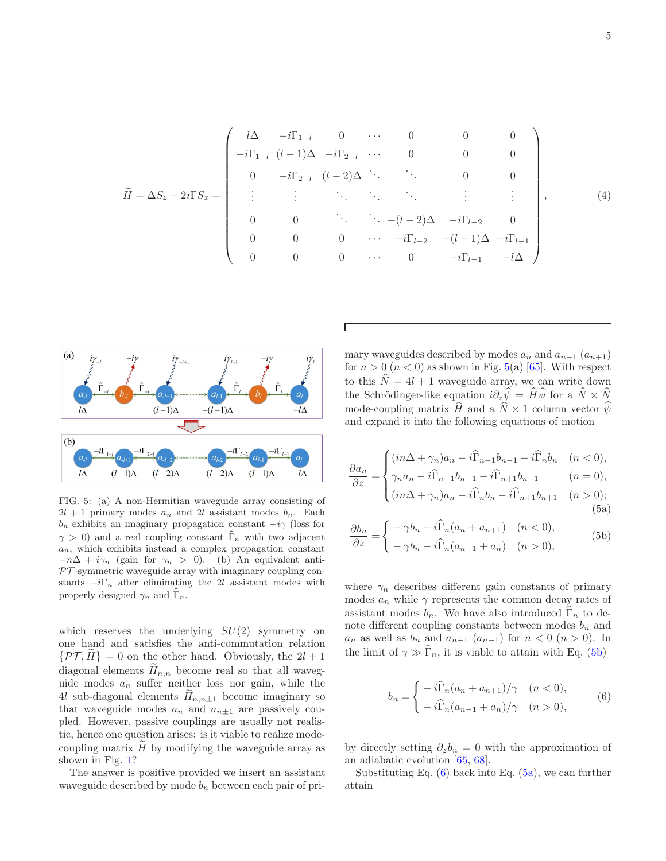<span id="page-4-4"></span>
$$
\widetilde{H} = \Delta S_z - 2i\Gamma S_x = \begin{pmatrix}\n l\Delta & -i\Gamma_{1-l} & 0 & \cdots & 0 & 0 & 0 \\
 -i\Gamma_{1-l} & (l-1)\Delta & -i\Gamma_{2-l} & \cdots & 0 & 0 & 0 \\
 0 & -i\Gamma_{2-l} & (l-2)\Delta & \ddots & \ddots & 0 & 0 \\
 \vdots & \vdots & \ddots & \ddots & \ddots & \vdots & \vdots \\
 0 & 0 & \ddots & \ddots & -(l-2)\Delta & -i\Gamma_{l-2} & 0 \\
 0 & 0 & 0 & \cdots & -i\Gamma_{l-2} & -(l-1)\Delta & -i\Gamma_{l-1} \\
 0 & 0 & 0 & \cdots & 0 & -i\Gamma_{l-1} & -l\Delta\n\end{pmatrix},
$$
\n(4)



<span id="page-4-0"></span>FIG. 5: (a) A non-Hermitian waveguide array consisting of  $2l + 1$  primary modes  $a_n$  and 2l assistant modes  $b_n$ . Each  $b_n$  exhibits an imaginary propagation constant  $-i\gamma$  (loss for  $\gamma > 0$ ) and a real coupling constant  $\Gamma_n$  with two adjacent  $a_n$ , which exhibits instead a complex propagation constant  $-n\Delta + i\gamma_n$  (gain for  $\gamma_n > 0$ ). (b) An equivalent anti- $PT$ -symmetric waveguide array with imaginary coupling constants  $-i\Gamma_n$  after eliminating the 2l assistant modes with properly designed  $\gamma_n$  and  $\tilde{\Gamma}_n$ .

which reserves the underlying  $SU(2)$  symmetry on one hand and satisfies the anti-commutation relation  $\{\mathcal{PT}, H\} = 0$  on the other hand. Obviously, the  $2l + 1$ diagonal elements  $H_{n,n}$  become real so that all waveguide modes  $a_n$  suffer neither loss nor gain, while the 4l sub-diagonal elements  $H_{n,n\pm 1}$  become imaginary so that waveguide modes  $a_n$  and  $a_{n\pm 1}$  are passively coupled. However, passive couplings are usually not realistic, hence one question arises: is it viable to realize modecoupling matrix  $H$  by modifying the waveguide array as shown in Fig. [1?](#page-1-0)

The answer is positive provided we insert an assistant waveguide described by mode  $b_n$  between each pair of primary waveguides described by modes  $a_n$  and  $a_{n-1}$   $(a_{n+1})$ for  $n > 0$   $(n < 0)$  as shown in Fig. [5\(](#page-4-0)a) [\[65\]](#page-8-16). With respect to this  $\hat{N} = 4l + 1$  waveguide array, we can write down the Schrödinger-like equation  $i\partial_z\hat{\psi} = \hat{H}\hat{\psi}$  for a  $\hat{N} \times \hat{N}$ mode-coupling matrix  $\hat{H}$  and a  $\hat{N} \times 1$  column vector  $\hat{\psi}$ and expand it into the following equations of motion

$$
\frac{\partial a_n}{\partial z} = \begin{cases}\n(in\Delta + \gamma_n)a_n - i\widehat{\Gamma}_{n-1}b_{n-1} - i\widehat{\Gamma}_n b_n & (n < 0), \\
\gamma_n a_n - i\widehat{\Gamma}_{n-1}b_{n-1} - i\widehat{\Gamma}_{n+1}b_{n+1} & (n = 0), \\
(in\Delta + \gamma_n)a_n - i\widehat{\Gamma}_n b_n - i\widehat{\Gamma}_{n+1}b_{n+1} & (n > 0);\n\end{cases}
$$
\n(5a)

<span id="page-4-3"></span><span id="page-4-1"></span>
$$
\frac{\partial b_n}{\partial z} = \begin{cases}\n-\gamma b_n - i\widehat{\Gamma}_n(a_n + a_{n+1}) & (n < 0), \\
-\gamma b_n - i\widehat{\Gamma}_n(a_{n-1} + a_n) & (n > 0),\n\end{cases}
$$
\n(5b)

where  $\gamma_n$  describes different gain constants of primary modes  $a_n$  while  $\gamma$  represents the common decay rates of assistant modes  $b_n$ . We have also introduced  $\widehat{\Gamma}_n$  to denote different coupling constants between modes  $b_n$  and  $a_n$  as well as  $b_n$  and  $a_{n+1}$   $(a_{n-1})$  for  $n < 0$   $(n > 0)$ . In the limit of  $\gamma \gg \widehat{\Gamma}_n$ , it is viable to attain with Eq. [\(5b\)](#page-4-1)

<span id="page-4-2"></span>
$$
b_n = \begin{cases} \n-i\widehat{\Gamma}_n(a_n + a_{n+1})/\gamma & (n < 0), \\ \n-i\widehat{\Gamma}_n(a_{n-1} + a_n)/\gamma & (n > 0), \n\end{cases}
$$
\n(6)

by directly setting  $\partial_z b_n = 0$  with the approximation of an adiabatic evolution [\[65,](#page-8-16) [68\]](#page-8-17).

Substituting Eq.  $(6)$  back into Eq.  $(5a)$ , we can further attain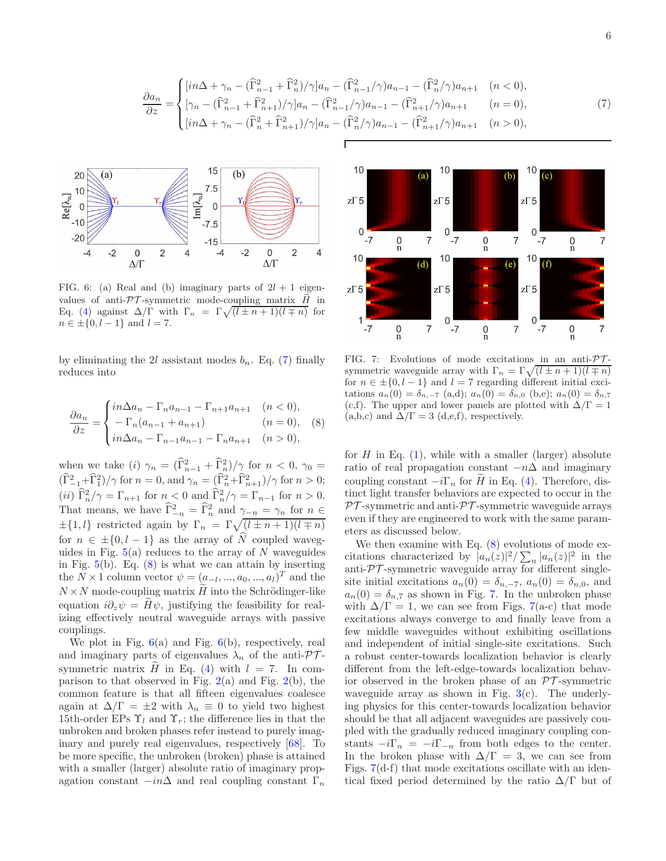$$
\frac{\partial a_n}{\partial z} = \begin{cases}\n\left[in\Delta + \gamma_n - (\widehat{\Gamma}_{n-1}^2 + \widehat{\Gamma}_n^2)/\gamma\right]a_n - (\widehat{\Gamma}_{n-1}^2/\gamma)a_{n-1} - (\widehat{\Gamma}_n^2/\gamma)a_{n+1} & (n < 0), \\
\left[\gamma_n - (\widehat{\Gamma}_{n-1}^2 + \widehat{\Gamma}_{n+1}^2)/\gamma\right]a_n - (\widehat{\Gamma}_{n-1}^2/\gamma)a_{n-1} - (\widehat{\Gamma}_{n+1}^2/\gamma)a_{n+1} & (n = 0), \\
\left[in\Delta + \gamma_n - (\widehat{\Gamma}_n^2 + \widehat{\Gamma}_{n+1}^2)/\gamma\right]a_n - (\widehat{\Gamma}_n^2/\gamma)a_{n-1} - (\widehat{\Gamma}_{n+1}^2/\gamma)a_{n+1} & (n > 0),\n\end{cases} (7)
$$



<span id="page-5-2"></span>FIG. 6: (a) Real and (b) imaginary parts of  $2l + 1$  eigenvalues of anti- $\mathcal{PT}$ -symmetric mode-coupling matrix  $H$  in Eq. [\(4\)](#page-4-4) against  $\Delta/\Gamma$  with  $\Gamma_n = \Gamma \sqrt{\frac{l \pm n + 1}{l \mp n}}$  for  $n \in \pm \{0, l - 1\}$  and  $l = 7$ .

by eliminating the 2l assistant modes  $b_n$ . Eq. [\(7\)](#page-5-0) finally reduces into

$$
\frac{\partial a_n}{\partial z} = \begin{cases} in\Delta a_n - \Gamma_n a_{n-1} - \Gamma_{n+1} a_{n+1} & (n < 0), \\ -\Gamma_n (a_{n-1} + a_{n+1}) & (n = 0), \\ in\Delta a_n - \Gamma_{n-1} a_{n-1} - \Gamma_n a_{n+1} & (n > 0), \end{cases}
$$
 (8)

when we take (i)  $\gamma_n = (\hat{\Gamma}_{n-1}^2 + \hat{\Gamma}_n^2)/\gamma$  for  $n < 0, \gamma_0 =$  $(\widehat{\Gamma}_{-1}^2 + \widehat{\Gamma}_{1}^2)/\gamma$  for  $n = 0$ , and  $\gamma_n = (\widehat{\Gamma}_{n}^2 + \widehat{\Gamma}_{n+1}^2)/\gamma$  for  $n > 0$ ; (*ii*)  $\widehat{\Gamma}_n^2/\gamma = \Gamma_{n+1}$  for  $n < 0$  and  $\widehat{\Gamma}_n^2/\gamma = \Gamma_{n-1}$  for  $n > 0$ . That means, we have  $\widehat{\Gamma}^2_{-n} = \widehat{\Gamma}^2_n$  and  $\gamma_{-n} = \gamma_n$  for  $n \in$  $\pm \{1, l\}$  restricted again by  $\Gamma_n = \Gamma \sqrt{\left(l \pm n + 1\right)\left(l \mp n\right)}$ for  $n \in \pm \{0, l - 1\}$  as the array of  $\hat{N}$  coupled waveguides in Fig.  $5(a)$  $5(a)$  reduces to the array of N waveguides in Fig.  $5(b)$  $5(b)$ . Eq.  $(8)$  is what we can attain by inserting the  $N \times 1$  column vector  $\psi = (\underline{a}_{-l}, ..., a_0, ..., a_l)^T$  and the  $N \times N$  mode-coupling matrix  $\widetilde{H}$  into the Schrödinger-like equation  $i\partial_z\psi = H\psi$ , justifying the feasibility for realizing effectively neutral waveguide arrays with passive couplings.

We plot in Fig.  $6(a)$  $6(a)$  and Fig.  $6(b)$ , respectively, real and imaginary parts of eigenvalues  $\lambda_n$  of the anti- $\mathcal{PT}$ symmetric matrix  $\hat{H}$  in Eq. [\(4\)](#page-4-4) with  $l = 7$ . In comparison to that observed in Fig.  $2(a)$  $2(a)$  and Fig.  $2(b)$ , the common feature is that all fifteen eigenvalues coalesce again at  $\Delta/\Gamma = \pm 2$  with  $\lambda_n \equiv 0$  to yield two highest 15th-order EPs  $\Upsilon_l$  and  $\Upsilon_r$ ; the difference lies in that the unbroken and broken phases refer instead to purely imaginary and purely real eigenvalues, respectively [\[68\]](#page-8-17). To be more specific, the unbroken (broken) phase is attained with a smaller (larger) absolute ratio of imaginary propagation constant  $-i n \Delta$  and real coupling constant  $\Gamma_n$ 

<span id="page-5-0"></span>

<span id="page-5-3"></span>FIG. 7: Evolutions of mode excitations in an anti- $\mathcal{PT}$ symmetric waveguide array with  $\Gamma_n = \Gamma \sqrt{(l \pm n + 1)(l \mp n)}$ for  $n \in \pm \{0, l - 1\}$  and  $l = 7$  regarding different initial excitations  $a_n(0) = \delta_{n,-7}$  (a,d);  $a_n(0) = \delta_{n,0}$  (b,e);  $a_n(0) = \delta_{n,7}$ (c,f). The upper and lower panels are plotted with  $\Delta/\Gamma = 1$  $(a,b,c)$  and  $\Delta/\Gamma = 3$   $(d,e,f)$ , respectively.

<span id="page-5-1"></span>for  $H$  in Eq.  $(1)$ , while with a smaller (larger) absolute ratio of real propagation constant  $-n\Delta$  and imaginary coupling constant  $-i\Gamma_n$  for  $\tilde{H}$  in Eq. [\(4\)](#page-4-4). Therefore, distinct light transfer behaviors are expected to occur in the  $PT$ -symmetric and anti- $PT$ -symmetric waveguide arrays even if they are engineered to work with the same parameters as discussed below.

We then examine with Eq.  $(8)$  evolutions of mode excitations characterized by  $[a_n(z)]^2 / \sum_n |a_n(z)|^2$  in the anti- $\mathcal{PT}$ -symmetric waveguide array for different singlesite initial excitations  $a_n(0) = \delta_{n,-7}$ ,  $a_n(0) = \delta_{n,0}$ , and  $a_n(0) = \delta_{n,7}$  as shown in Fig. [7.](#page-5-3) In the unbroken phase with  $\Delta/\Gamma = 1$ , we can see from Figs. [7\(](#page-5-3)a-c) that mode excitations always converge to and finally leave from a few middle waveguides without exhibiting oscillations and independent of initial single-site excitations. Such a robust center-towards localization behavior is clearly different from the left-edge-towards localization behavior observed in the broken phase of an  $\mathcal{PT}$ -symmetric waveguide array as shown in Fig.  $3(c)$  $3(c)$ . The underlying physics for this center-towards localization behavior should be that all adjacent waveguides are passively coupled with the gradually reduced imaginary coupling constants  $-i\Gamma_n = -i\Gamma_{-n}$  from both edges to the center. In the broken phase with  $\Delta/\Gamma = 3$ , we can see from Figs. [7\(](#page-5-3)d-f) that mode excitations oscillate with an identical fixed period determined by the ratio  $\Delta/\Gamma$  but of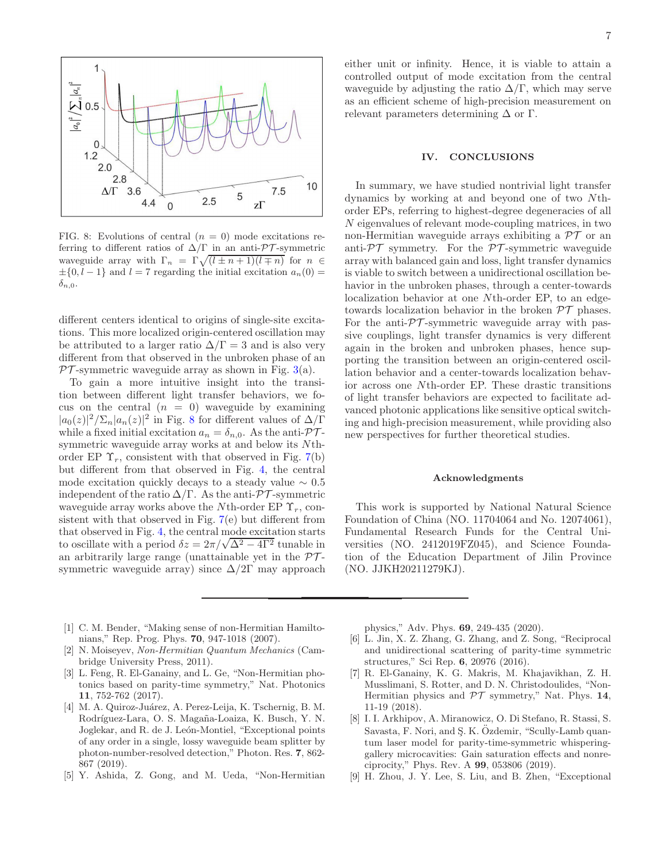

<span id="page-6-4"></span>FIG. 8: Evolutions of central  $(n = 0)$  mode excitations referring to different ratios of  $\Delta/\Gamma$  in an anti- $\mathcal{PT}$ -symmetric waveguide array with  $\Gamma_n = \Gamma \sqrt{(l \pm n + 1)(l \mp n)}$  for  $n \in$  $\pm \{0, l-1\}$  and  $l = 7$  regarding the initial excitation  $a_n(0) =$  $\delta_{n,0}$ .

different centers identical to origins of single-site excitations. This more localized origin-centered oscillation may be attributed to a larger ratio  $\Delta/\Gamma = 3$  and is also very different from that observed in the unbroken phase of an  $PT$ -symmetric waveguide array as shown in Fig. [3\(](#page-2-2)a).

To gain a more intuitive insight into the transition between different light transfer behaviors, we focus on the central  $(n = 0)$  waveguide by examining  $|a_0(z)|^2/\Sigma_n|a_n(z)|^2$  in Fig. [8](#page-6-4) for different values of  $\Delta/\Gamma$ while a fixed initial excitation  $a_n = \delta_{n,0}$ . As the anti- $\mathcal{PT}$ symmetric waveguide array works at and below its Nthorder EP  $\Upsilon_r$ , consistent with that observed in Fig. [7\(](#page-5-3)b) but different from that observed in Fig. [4,](#page-3-0) the central mode excitation quickly decays to a steady value  $\sim 0.5$ independent of the ratio  $\Delta/\Gamma$ . As the anti- $\mathcal{PT}$ -symmetric waveguide array works above the Nth-order EP  $\Upsilon_r$ , consistent with that observed in Fig. [7\(](#page-5-3)e) but different from that observed in Fig. [4,](#page-3-0) the central mode excitation starts to oscillate with a period  $\delta z = 2\pi/\sqrt{\Delta^2 - 4\Gamma^2}$  tunable in an arbitrarily large range (unattainable yet in the  $\mathcal{PT}$ symmetric waveguide array) since  $\Delta/2\Gamma$  may approach

either unit or infinity. Hence, it is viable to attain a controlled output of mode excitation from the central waveguide by adjusting the ratio  $\Delta/\Gamma$ , which may serve as an efficient scheme of high-precision measurement on relevant parameters determining  $\Delta$  or  $\Gamma$ .

#### IV. CONCLUSIONS

In summary, we have studied nontrivial light transfer dynamics by working at and beyond one of two Nthorder EPs, referring to highest-degree degeneracies of all N eigenvalues of relevant mode-coupling matrices, in two non-Hermitian waveguide arrays exhibiting a  $\mathcal{PT}$  or an anti- $\mathcal{PT}$  symmetry. For the  $\mathcal{PT}$ -symmetric waveguide array with balanced gain and loss, light transfer dynamics is viable to switch between a unidirectional oscillation behavior in the unbroken phases, through a center-towards localization behavior at one Nth-order EP, to an edgetowards localization behavior in the broken  $\mathcal{PT}$  phases. For the anti- $\mathcal{PT}$ -symmetric waveguide array with passive couplings, light transfer dynamics is very different again in the broken and unbroken phases, hence supporting the transition between an origin-centered oscillation behavior and a center-towards localization behavior across one Nth-order EP. These drastic transitions of light transfer behaviors are expected to facilitate advanced photonic applications like sensitive optical switching and high-precision measurement, while providing also new perspectives for further theoretical studies.

#### Acknowledgments

This work is supported by National Natural Science Foundation of China (NO. 11704064 and No. 12074061), Fundamental Research Funds for the Central Universities (NO. 2412019FZ045), and Science Foundation of the Education Department of Jilin Province (NO. JJKH20211279KJ).

- <span id="page-6-0"></span>[1] C. M. Bender, "Making sense of non-Hermitian Hamiltonians," Rep. Prog. Phys. 70, 947-1018 (2007).
- [2] N. Moiseyev, Non-Hermitian Quantum Mechanics (Cambridge University Press, 2011).
- [3] L. Feng, R. El-Ganainy, and L. Ge, "Non-Hermitian photonics based on parity-time symmetry," Nat. Photonics 11, 752-762 (2017).
- [4] M. A. Quiroz-Juárez, A. Perez-Leija, K. Tschernig, B. M. Rodríguez-Lara, O. S. Magaña-Loaiza, K. Busch, Y. N. Joglekar, and R. de J. León-Montiel, "Exceptional points of any order in a single, lossy waveguide beam splitter by photon-number-resolved detection," Photon. Res. 7, 862- 867 (2019).
- <span id="page-6-1"></span>[5] Y. Ashida, Z. Gong, and M. Ueda, "Non-Hermitian

physics," Adv. Phys. 69, 249-435 (2020).

- <span id="page-6-2"></span>[6] L. Jin, X. Z. Zhang, G. Zhang, and Z. Song, "Reciprocal and unidirectional scattering of parity-time symmetric structures," Sci Rep. 6, 20976 (2016).
- [7] R. El-Ganainy, K. G. Makris, M. Khajavikhan, Z. H. Musslimani, S. Rotter, and D. N. Christodoulides, "Non-Hermitian physics and  $\mathcal{PT}$  symmetry," Nat. Phys. 14, 11-19 (2018).
- <span id="page-6-3"></span>[8] I. I. Arkhipov, A. Miranowicz, O. Di Stefano, R. Stassi, S. Savasta, F. Nori, and S. K. Ozdemir, "Scully-Lamb quantum laser model for parity-time-symmetric whisperinggallery microcavities: Gain saturation effects and nonreciprocity," Phys. Rev. A 99, 053806 (2019).
- [9] H. Zhou, J. Y. Lee, S. Liu, and B. Zhen, "Exceptional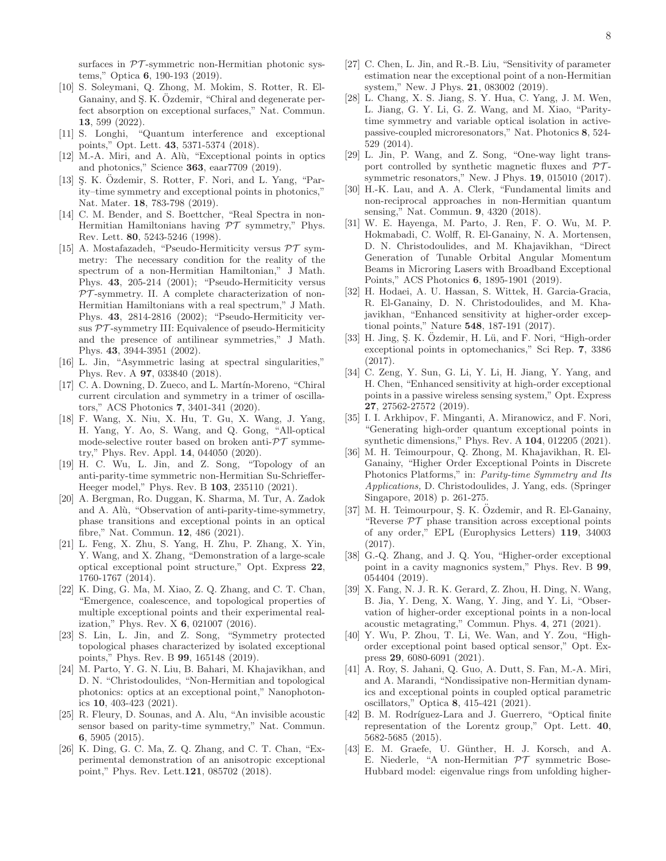surfaces in  $\mathcal{PT}$ -symmetric non-Hermitian photonic systems," Optica 6, 190-193 (2019).

- <span id="page-7-0"></span>[10] S. Soleymani, Q. Zhong, M. Mokim, S. Rotter, R. El-Ganainy, and S. K. Özdemir, "Chiral and degenerate perfect absorption on exceptional surfaces," Nat. Commun. 13, 599 (2022).
- <span id="page-7-1"></span>[11] S. Longhi, "Quantum interference and exceptional points," Opt. Lett. 43, 5371-5374 (2018).
- [12] M.-A. Miri, and A. Alù, "Exceptional points in optics and photonics," Science 363, eaar7709 (2019).
- <span id="page-7-2"></span>[13] S. K. Özdemir, S. Rotter, F. Nori, and L. Yang, "Parity–time symmetry and exceptional points in photonics," Nat. Mater. 18, 783-798 (2019).
- <span id="page-7-3"></span>[14] C. M. Bender, and S. Boettcher, "Real Spectra in non-Hermitian Hamiltonians having  $PT$  symmetry," Phys. Rev. Lett. 80, 5243-5246 (1998).
- [15] A. Mostafazadeh, "Pseudo-Hermiticity versus  $\mathcal{PT}$  symmetry: The necessary condition for the reality of the spectrum of a non-Hermitian Hamiltonian," J Math. Phys. 43, 205-214 (2001); "Pseudo-Hermiticity versus  $PT$ -symmetry. II. A complete characterization of non-Hermitian Hamiltonians with a real spectrum," J Math. Phys. 43, 2814-2816 (2002); "Pseudo-Hermiticity versus  $PT$ -symmetry III: Equivalence of pseudo-Hermiticity and the presence of antilinear symmetries," J Math. Phys. 43, 3944-3951 (2002).
- [16] L. Jin, "Asymmetric lasing at spectral singularities," Phys. Rev. A 97, 033840 (2018).
- <span id="page-7-4"></span>[17] C. A. Downing, D. Zueco, and L. Martín-Moreno, "Chiral current circulation and symmetry in a trimer of oscillators," ACS Photonics 7, 3401-341 (2020).
- <span id="page-7-5"></span>[18] F. Wang, X. Niu, X. Hu, T. Gu, X. Wang, J. Yang, H. Yang, Y. Ao, S. Wang, and Q. Gong, "All-optical mode-selective router based on broken anti- $\mathcal{PT}$  symmetry," Phys. Rev. Appl. 14, 044050 (2020).
- [19] H. C. Wu, L. Jin, and Z. Song, "Topology of an anti-parity-time symmetric non-Hermitian Su-Schrieffer-Heeger model," Phys. Rev. B 103, 235110 (2021).
- <span id="page-7-6"></span>[20] A. Bergman, Ro. Duggan, K. Sharma, M. Tur, A. Zadok and A. Alù, "Observation of anti-parity-time-symmetry, phase transitions and exceptional points in an optical fibre," Nat. Commun. 12, 486 (2021).
- <span id="page-7-7"></span>[21] L. Feng, X. Zhu, S. Yang, H. Zhu, P. Zhang, X. Yin, Y. Wang, and X. Zhang, "Demonstration of a large-scale optical exceptional point structure," Opt. Express 22, 1760-1767 (2014).
- <span id="page-7-8"></span>[22] K. Ding, G. Ma, M. Xiao, Z. Q. Zhang, and C. T. Chan, "Emergence, coalescence, and topological properties of multiple exceptional points and their experimental realization," Phys. Rev. X 6, 021007 (2016).
- [23] S. Lin, L. Jin, and Z. Song, "Symmetry protected topological phases characterized by isolated exceptional points," Phys. Rev. B 99, 165148 (2019).
- <span id="page-7-9"></span>[24] M. Parto, Y. G. N. Liu, B. Bahari, M. Khajavikhan, and D. N. "Christodoulides, "Non-Hermitian and topological photonics: optics at an exceptional point," Nanophotonics 10, 403-423 (2021).
- <span id="page-7-10"></span>[25] R. Fleury, D. Sounas, and A. Alu, "An invisible acoustic sensor based on parity-time symmetry," Nat. Commun. 6, 5905 (2015).
- [26] K. Ding, G. C. Ma, Z. Q. Zhang, and C. T. Chan, "Experimental demonstration of an anisotropic exceptional point," Phys. Rev. Lett.121, 085702 (2018).
- <span id="page-7-11"></span>[27] C. Chen, L. Jin, and R.-B. Liu, "Sensitivity of parameter estimation near the exceptional point of a non-Hermitian system," New. J Phys. 21, 083002 (2019).
- <span id="page-7-12"></span>[28] L. Chang, X. S. Jiang, S. Y. Hua, C. Yang, J. M. Wen, L. Jiang, G. Y. Li, G. Z. Wang, and M. Xiao, "Paritytime symmetry and variable optical isolation in activepassive-coupled microresonators," Nat. Photonics 8, 524- 529 (2014).
- [29] L. Jin, P. Wang, and Z. Song, "One-way light transport controlled by synthetic magnetic fluxes and  $\mathcal{PT}$ symmetric resonators," New. J Phys. 19, 015010 (2017).
- [30] H.-K. Lau, and A. A. Clerk, "Fundamental limits and non-reciprocal approaches in non-Hermitian quantum sensing," Nat. Commun. 9, 4320 (2018).
- <span id="page-7-13"></span>[31] W. E. Hayenga, M. Parto, J. Ren, F. O. Wu, M. P. Hokmabadi, C. Wolff, R. El-Ganainy, N. A. Mortensen, D. N. Christodoulides, and M. Khajavikhan, "Direct Generation of Tunable Orbital Angular Momentum Beams in Microring Lasers with Broadband Exceptional Points," ACS Photonics 6, 1895-1901 (2019).
- <span id="page-7-14"></span>[32] H. Hodaei, A. U. Hassan, S. Wittek, H. Garcia-Gracia, R. El-Ganainy, D. N. Christodoulides, and M. Khajavikhan, "Enhanced sensitivity at higher-order exceptional points," Nature 548, 187-191 (2017).
- [33] H. Jing, S. K. Özdemir, H. Lü, and F. Nori, "High-order exceptional points in optomechanics," Sci Rep. 7, 3386 (2017).
- [34] C. Zeng, Y. Sun, G. Li, Y. Li, H. Jiang, Y. Yang, and H. Chen, "Enhanced sensitivity at high-order exceptional points in a passive wireless sensing system," Opt. Express 27, 27562-27572 (2019).
- [35] I. I. Arkhipov, F. Minganti, A. Miranowicz, and F. Nori, "Generating high-order quantum exceptional points in synthetic dimensions," Phys. Rev. A 104, 012205 (2021).
- <span id="page-7-15"></span>[36] M. H. Teimourpour, Q. Zhong, M. Khajavikhan, R. El-Ganainy, "Higher Order Exceptional Points in Discrete Photonics Platforms," in: Parity-time Symmetry and Its Applications, D. Christodoulides, J. Yang, eds. (Springer Singapore, 2018) p. 261-275.
- <span id="page-7-16"></span>[37] M. H. Teimourpour, S. K. Özdemir, and R. El-Ganainy, "Reverse  $\mathcal{PT}$  phase transition across exceptional points of any order," EPL (Europhysics Letters) 119, 34003 (2017).
- [38] G.-Q. Zhang, and J. Q. You, "Higher-order exceptional point in a cavity magnonics system," Phys. Rev. B 99, 054404 (2019).
- [39] X. Fang, N. J. R. K. Gerard, Z. Zhou, H. Ding, N. Wang, B. Jia, Y. Deng, X. Wang, Y. Jing, and Y. Li, "Observation of higher-order exceptional points in a non-local acoustic metagrating," Commun. Phys. 4, 271 (2021).
- [40] Y. Wu, P. Zhou, T. Li, We. Wan, and Y. Zou, "Highorder exceptional point based optical sensor," Opt. Express 29, 6080-6091 (2021).
- <span id="page-7-17"></span>[41] A. Roy, S. Jahani, Q. Guo, A. Dutt, S. Fan, M.-A. Miri, and A. Marandi, "Nondissipative non-Hermitian dynamics and exceptional points in coupled optical parametric oscillators," Optica 8, 415-421 (2021).
- <span id="page-7-18"></span>[42] B. M. Rodríguez-Lara and J. Guerrero, "Optical finite representation of the Lorentz group," Opt. Lett. 40, 5682-5685 (2015).
- <span id="page-7-19"></span>[43] E. M. Graefe, U. Günther, H. J. Korsch, and A. E. Niederle, "A non-Hermitian  $\mathcal{PT}$  symmetric Bose-Hubbard model: eigenvalue rings from unfolding higher-